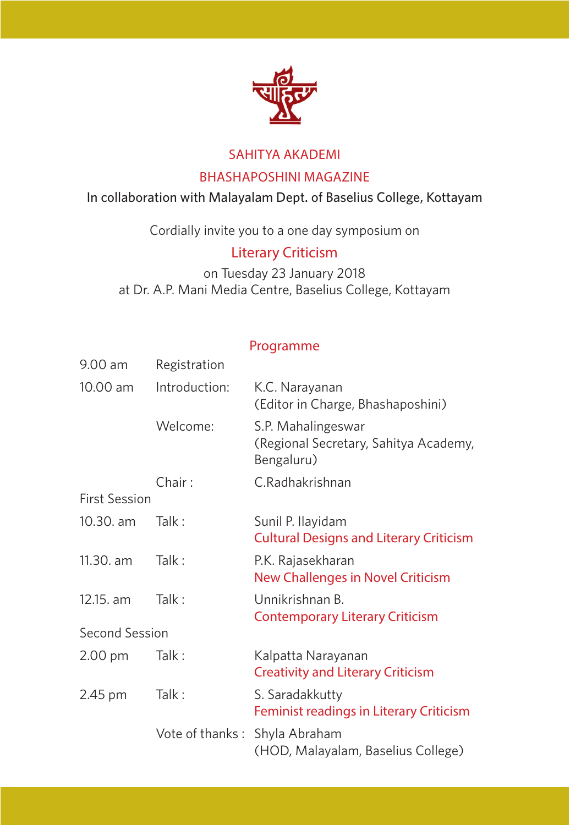

#### SAHITYA AKADEMI

#### BHASHAPOSHINI MAGAZINE **BHASHAPOSHINI MAGAZINE**

#### In collaboration with Malayalam Dept. of Baselius College, Kottayam In collaboration with Malayalam Dept. of Baselius College, Kottayam

### Literary Criticism **Literary Criticism**

#### Programme **Programme**

|                      |                 | SAHITYA AKADEMI                                                           |
|----------------------|-----------------|---------------------------------------------------------------------------|
|                      |                 | <b>BHASHAPOSHINI MAGAZINE</b>                                             |
|                      |                 | In collaboration with Malayalam Dept. of Baselius College, Kottayam       |
|                      |                 | Cordially invite you to a one day symposium on                            |
|                      |                 | <b>Literary Criticism</b>                                                 |
|                      |                 | on Tuesday 23 January 2018                                                |
|                      |                 | at Dr. A.P. Mani Media Centre, Baselius College, Kottayam                 |
|                      |                 | Programme                                                                 |
| 9.00 am              | Registration    |                                                                           |
| 10.00 am             | Introduction:   | K.C. Narayanan<br>(Editor in Charge, Bhashaposhini)                       |
|                      | Welcome:        | S.P. Mahalingeswar<br>(Regional Secretary, Sahitya Academy,<br>Bengaluru) |
|                      | Chair:          | C.Radhakrishnan                                                           |
| <b>First Session</b> |                 |                                                                           |
| 10.30. am            | Talk:           | Sunil P. Ilayidam<br><b>Cultural Designs and Literary Criticism</b>       |
| 11.30. am            | Talk:           | P.K. Rajasekharan<br>New Challenges in Novel Criticism                    |
| 12.15, am            | Talk:           | Unnikrishnan B.<br><b>Contemporary Literary Criticism</b>                 |
| Second Session       |                 |                                                                           |
| 2.00 pm              | Talk:           | Kalpatta Narayanan<br><b>Creativity and Literary Criticism</b>            |
| 2.45 pm              | Talk:           | S. Saradakkutty<br>Feminist readings in Literary Criticism                |
|                      | Vote of thanks: | Shyla Abraham<br>(HOD, Malayalam, Baselius College)                       |